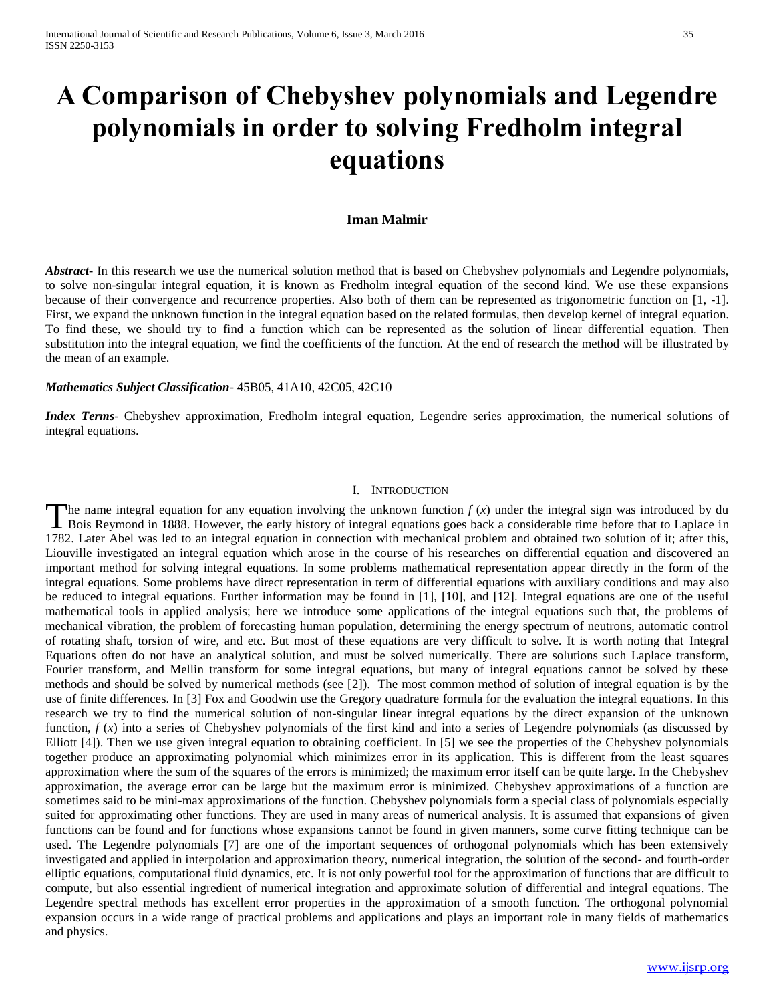# **A Comparison of Chebyshev polynomials and Legendre polynomials in order to solving Fredholm integral equations**

# **Iman Malmir**

*Abstract* In this research we use the numerical solution method that is based on Chebyshev polynomials and Legendre polynomials, to solve non-singular integral equation, it is known as Fredholm integral equation of the second kind. We use these expansions because of their convergence and recurrence properties. Also both of them can be represented as trigonometric function on [1, -1]. First, we expand the unknown function in the integral equation based on the related formulas, then develop kernel of integral equation. To find these, we should try to find a function which can be represented as the solution of linear differential equation. Then substitution into the integral equation, we find the coefficients of the function. At the end of research the method will be illustrated by the mean of an example.

### *Mathematics Subject Classification*- 45B05, 41A10, 42C05, 42C10

*Index Terms*- Chebyshev approximation, Fredholm integral equation, Legendre series approximation, the numerical solutions of integral equations.

#### I. INTRODUCTION

The name integral equation for any equation involving the unknown function  $f(x)$  under the integral sign was introduced by du The name integral equation for any equation involving the unknown function  $f(x)$  under the integral sign was introduced by du Bois Reymond in 1888. However, the early history of integral equations goes back a considerable 1782. Later Abel was led to an integral equation in connection with mechanical problem and obtained two solution of it; after this, Liouville investigated an integral equation which arose in the course of his researches on differential equation and discovered an important method for solving integral equations. In some problems mathematical representation appear directly in the form of the integral equations. Some problems have direct representation in term of differential equations with auxiliary conditions and may also be reduced to integral equations. Further information may be found in [1], [10], and [12]. Integral equations are one of the useful mathematical tools in applied analysis; here we introduce some applications of the integral equations such that, the problems of mechanical vibration, the problem of forecasting human population, determining the energy spectrum of neutrons, automatic control of rotating shaft, torsion of wire, and etc. But most of these equations are very difficult to solve. It is worth noting that Integral Equations often do not have an analytical solution, and must be solved numerically. There are solutions such Laplace transform, Fourier transform, and Mellin transform for some integral equations, but many of integral equations cannot be solved by these methods and should be solved by numerical methods (see [2]). The most common method of solution of integral equation is by the use of finite differences. In [3] Fox and Goodwin use the Gregory quadrature formula for the evaluation the integral equations. In this research we try to find the numerical solution of non-singular linear integral equations by the direct expansion of the unknown function,  $f(x)$  into a series of Chebyshev polynomials of the first kind and into a series of Legendre polynomials (as discussed by Elliott [4]). Then we use given integral equation to obtaining coefficient. In [5] we see the properties of the Chebyshev polynomials together produce an approximating polynomial which minimizes error in its application. This is different from the least squares approximation where the sum of the squares of the errors is minimized; the maximum error itself can be quite large. In the Chebyshev approximation, the average error can be large but the maximum error is minimized. Chebyshev approximations of a function are sometimes said to be mini-max approximations of the function. Chebyshev polynomials form a special class of polynomials especially suited for approximating other functions. They are used in many areas of numerical analysis. It is assumed that expansions of given functions can be found and for functions whose expansions cannot be found in given manners, some curve fitting technique can be used. The Legendre polynomials [7] are one of the important sequences of orthogonal polynomials which has been extensively investigated and applied in interpolation and approximation theory, numerical integration, the solution of the second- and fourth-order elliptic equations, computational fluid dynamics, etc. It is not only powerful tool for the approximation of functions that are difficult to compute, but also essential ingredient of numerical integration and approximate solution of differential and integral equations. The Legendre spectral methods has excellent error properties in the approximation of a smooth function. The orthogonal polynomial expansion occurs in a wide range of practical problems and applications and plays an important role in many fields of mathematics and physics.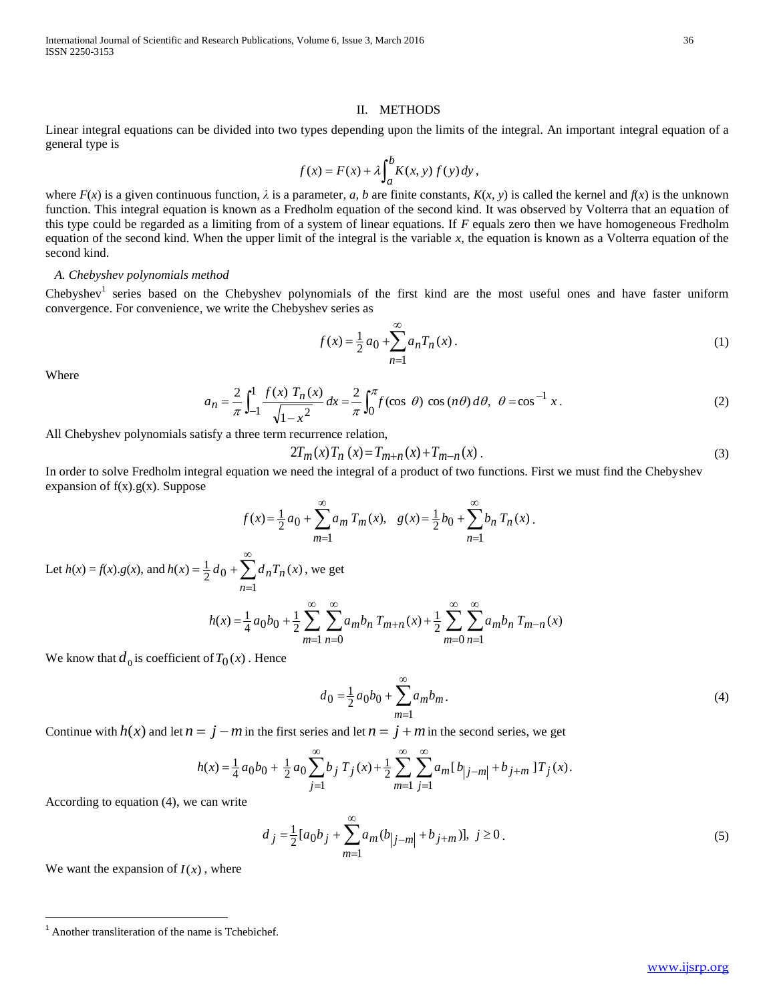#### II. METHODS

Linear integral equations can be divided into two types depending upon the limits of the integral. An important integral equation of a general type is

$$
f(x) = F(x) + \lambda \int_{a}^{b} K(x, y) f(y) dy,
$$

where  $F(x)$  is a given continuous function,  $\lambda$  is a parameter,  $a$ ,  $b$  are finite constants,  $K(x, y)$  is called the kernel and  $f(x)$  is the unknown function. This integral equation is known as a Fredholm equation of the second kind. It was observed by Volterra that an equation of this type could be regarded as a limiting from of a system of linear equations. If *F* equals zero then we have homogeneous Fredholm equation of the second kind. When the upper limit of the integral is the variable *x,* the equation is known as a Volterra equation of the second kind.

# *A. Chebyshev polynomials method*

Chebyshev<sup>1</sup> series based on the Chebyshev polynomials of the first kind are the most useful ones and have faster uniform convergence. For convenience, we write the Chebyshev series as

$$
f(x) = \frac{1}{2} a_0 + \sum_{n=1}^{\infty} a_n T_n(x).
$$
 (1)

Where

$$
a_n = \frac{2}{\pi} \int_{-1}^{1} \frac{f(x) T_n(x)}{\sqrt{1 - x^2}} dx = \frac{2}{\pi} \int_{0}^{\pi} f(\cos \theta) \cos(n\theta) d\theta, \ \theta = \cos^{-1} x.
$$
 (2)

All Chebyshev polynomials satisfy a three term recurrence relation,

$$
2T_m(x)T_n(x) = T_{m+n}(x) + T_{m-n}(x)
$$
\n(3)

In order to solve Fredholm integral equation we need the integral of a product of two functions. First we must find the Chebyshev expansion of  $f(x).g(x)$ . Suppose

$$
f(x) = \frac{1}{2} a_0 + \sum_{m=1}^{\infty} a_m T_m(x), \quad g(x) = \frac{1}{2} b_0 + \sum_{n=1}^{\infty} b_n T_n(x).
$$

Let  $h(x) = f(x) \cdot g(x)$ , and  $h(x) = \frac{1}{2} d_0 + \sum d_n T_n(x)$ 1  $h(x) = \frac{1}{2} d_0 + \sum d_n T_n(x)$ *n*  $\sum^{\infty} d_n$  $=$  $=\frac{1}{2}d_0+\sum d_nT_n(x)$ , we get

$$
h(x) = \frac{1}{4} a_0 b_0 + \frac{1}{2} \sum_{m=1}^{\infty} \sum_{n=0}^{\infty} a_m b_n T_{m+n}(x) + \frac{1}{2} \sum_{m=0}^{\infty} \sum_{n=1}^{\infty} a_m b_n T_{m-n}(x)
$$

We know that  $d_0$  is coefficient of  $T_0(x)$  . Hence

$$
d_0 = \frac{1}{2}a_0b_0 + \sum_{m=1}^{\infty} a_mb_m.
$$
 (4)

Continue with  $h(x)$  and let  $n = j - m$  in the first series and let  $n = j + m$  in the second series, we get

$$
h(x) = \frac{1}{4} a_0 b_0 + \frac{1}{2} a_0 \sum_{j=1}^{\infty} b_j T_j(x) + \frac{1}{2} \sum_{m=1}^{\infty} \sum_{j=1}^{\infty} a_m [b_{j-m}] + b_{j+m} 1 T_j(x).
$$

According to equation (4), we can write

$$
d_j = \frac{1}{2} [a_0 b_j + \sum_{m=1}^{\infty} a_m (b_{j-m} + b_{j+m})], j \ge 0.
$$
 (5)

We want the expansion of  $I(x)$ , where

 $\overline{a}$ 

<sup>1</sup> Another transliteration of the name is Tchebichef.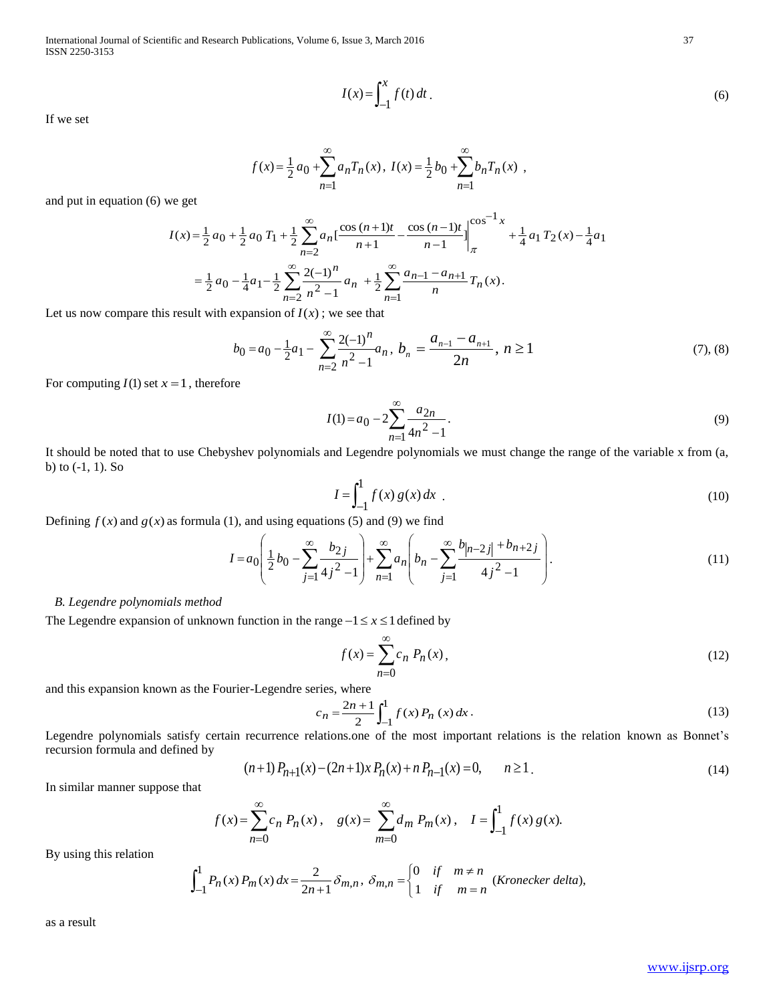International Journal of Scientific and Research Publications, Volume 6, Issue 3, March 2016 37 ISSN 2250-3153

If we set

$$
I(x) = \int_{-1}^{x} f(t) dt
$$
 (6)

$$
f(x) = \frac{1}{2} a_0 + \sum_{n=1}^{\infty} a_n T_n(x), I(x) = \frac{1}{2} b_0 + \sum_{n=1}^{\infty} b_n T_n(x) ,
$$

and put in equation (6) we get

$$
I(x) = \int_{-1}^{\infty} f(t) dt, \qquad (6)
$$
\n
$$
f(x) = \frac{1}{2} a_0 + \sum_{n=1}^{\infty} a_n T_n(x), \ I(x) = \frac{1}{2} b_0 + \sum_{n=1}^{\infty} b_n T_n(x), \qquad (8)
$$
\nwe get\n
$$
I(x) = \frac{1}{2} a_0 + \frac{1}{2} a_0 T_1 + \frac{1}{2} \sum_{n=1}^{\infty} a_n \left[ \frac{\cos(n+1)t}{n+1} - \frac{\cos(n-1)t}{n-1} \right]_{\pi}^{(\infty)^{-1} x} + \frac{1}{4} a_1 T_2(x) - \frac{1}{4} a_1
$$
\n
$$
= \frac{1}{2} a_0 - \frac{1}{4} a_1 - \frac{1}{2} \sum_{n=2}^{\infty} \frac{2(-1)^n}{n-1} a_n + \frac{1}{2} \sum_{n=1}^{\infty} \frac{a_{n-1} - a_{n+1}}{n} T_n(x), \qquad \text{se result with expansion of } I(x); \text{ we see that}
$$
\n
$$
b_0 = a_0 - \frac{1}{2} a_1 - \sum_{n=2}^{\infty} \frac{2(-1)^n}{n^2 - 1} a_n, \ b_n = \frac{a_{n-1} - a_{n+1}}{2n}, \ n \ge 1, \qquad (7), (8)
$$
\n
$$
I = 1, \text{ therefore}
$$
\n
$$
I(1) = a_0 - 2 \sum_{n=2}^{\infty} \frac{a_{2n}}{n^2 - 1} \qquad (9)
$$
\n
$$
\text{to use Chebyshev polynomials and Legendre polynomials we must change the range of the variable x from (a, 1) and using equations (5) and (9) we find\n
$$
I = a_0 \left( \frac{1}{2} b_0 - \sum_{j=1}^{\infty} \frac{b_{2j}}{4j^2 - 1} \right) + \sum_{n=1}^{\infty} a_n \left( b_n - \sum_{j=1}^{\infty} \frac{b_{n-2}}{4j^2 - 1} \right).
$$
\n(11)\nand *s* method\n
$$
I = a_0 \left( \frac{1}{2} b_0 - \sum_{j=
$$
$$

Let us now compare this result with expansion of  $I(x)$ ; we see that

$$
b_0 = a_0 - \frac{1}{2}a_1 - \sum_{n=2}^{\infty} \frac{2(-1)^n}{n^2 - 1} a_n, \ b_n = \frac{a_{n-1} - a_{n+1}}{2n}, \ n \ge 1
$$
\n<sup>(7), (8)</sup>

For computing  $I(1)$  set  $x = 1$ , therefore

$$
I(1) = a_0 - 2 \sum_{n=1}^{\infty} \frac{a_{2n}}{4n^2 - 1}.
$$
\n(9)

It should be noted that to use Chebyshev polynomials and Legendre polynomials we must change the range of the variable x from (a, b) to (-1, 1). So

$$
I = \int_{-1}^{1} f(x) g(x) dx
$$
 (10)

Defining  $f(x)$  and  $g(x)$  as formula (1), and using equations (5) and (9) we find

$$
I = a_0 \left( \frac{1}{2} b_0 - \sum_{j=1}^{\infty} \frac{b_{2j}}{4j^2 - 1} \right) + \sum_{n=1}^{\infty} a_n \left( b_n - \sum_{j=1}^{\infty} \frac{b_{|n-2j|} + b_{n+2j}}{4j^2 - 1} \right).
$$
 (11)

### *B. Legendre polynomials method*

The Legendre expansion of unknown function in the range  $-1 \le x \le 1$  defined by

$$
f(x) = \sum_{n=0}^{\infty} c_n P_n(x),
$$
 (12)

and this expansion known as the Fourier-Legendre series, where

$$
c_n = \frac{2n+1}{2} \int_{-1}^{1} f(x) P_n(x) dx.
$$
 (13)

Legendre polynomials satisfy certain recurrence relations.one of the most important relations is the relation known as Bonnet's recursion formula and defined by

$$
(n+1)P_{n+1}(x) - (2n+1)xP_n(x) + nP_{n-1}(x) = 0, \qquad n \ge 1.
$$
\n(14)

In similar manner suppose that

$$
f(x) = \sum_{n=0}^{\infty} c_n P_n(x), \quad g(x) = \sum_{m=0}^{\infty} d_m P_m(x), \quad I = \int_{-1}^{1} f(x) g(x).
$$

By using this relation

$$
\int_{-1}^{1} P_n(x) P_m(x) dx = \frac{2}{2n+1} \delta_{m,n}, \ \delta_{m,n} = \begin{cases} 0 & \text{if } m \neq n \\ 1 & \text{if } m = n \end{cases} (Kronecker delta),
$$

as a result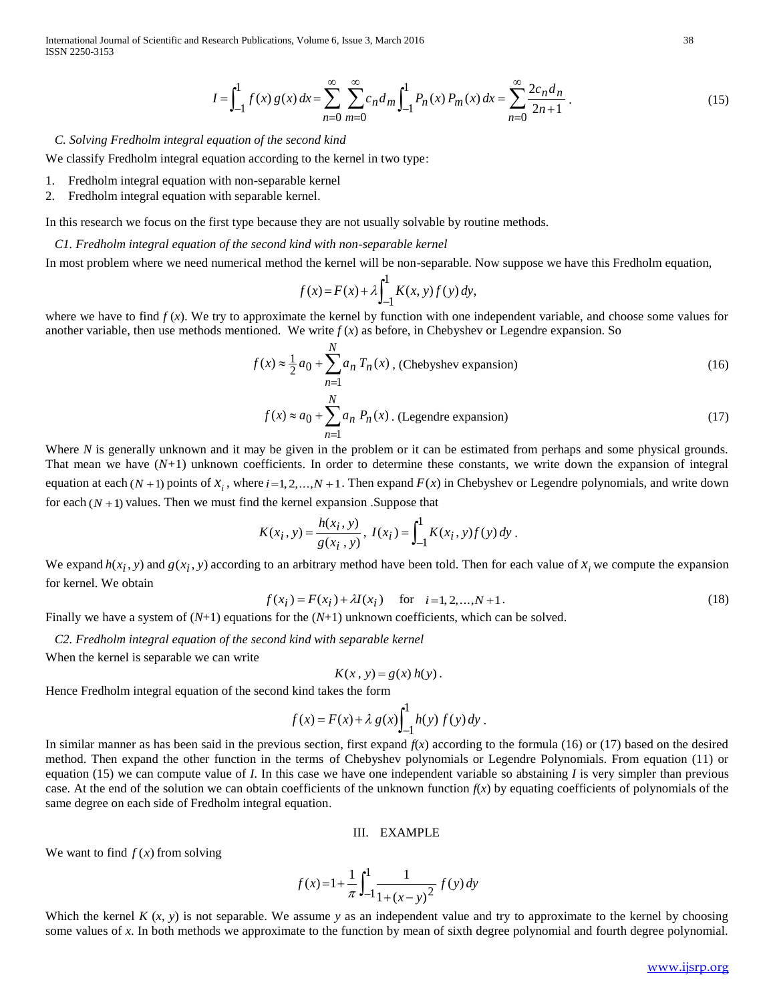International Journal of Scientific and Research Publications, Volume 6, Issue 3, March 2016 38 ISSN 2250-3153

$$
I = \int_{-1}^{1} f(x) g(x) dx = \sum_{n=0}^{\infty} \sum_{m=0}^{\infty} c_n d_m \int_{-1}^{1} P_n(x) P_m(x) dx = \sum_{n=0}^{\infty} \frac{2c_n d_n}{2n+1}.
$$
 (15)

# *C. Solving Fredholm integral equation of the second kind*

We classify Fredholm integral equation according to the kernel in two type:

- 1. Fredholm integral equation with non-separable kernel
- 2. Fredholm integral equation with separable kernel.

In this research we focus on the first type because they are not usually solvable by routine methods.

#### *C1. Fredholm integral equation of the second kind with non-separable kernel*

In most problem where we need numerical method the kernel will be non-separable. Now suppose we have this Fredholm equation,

$$
f(x) = F(x) + \lambda \int_{-1}^{1} K(x, y) f(y) dy,
$$

where we have to find  $f(x)$ . We try to approximate the kernel by function with one independent variable, and choose some values for another variable, then use methods mentioned. We write  $f(x)$  as before, in Chebyshev or Legendre expansion. So

$$
f(x) \approx \frac{1}{2} a_0 + \sum_{n=1}^{N} a_n T_n(x)
$$
, (Chebyshev expansion) (16)

$$
f(x) \approx a_0 + \sum_{n=1}^{N} a_n P_n(x)
$$
. (Legendre expansion) (17)

Where *N* is generally unknown and it may be given in the problem or it can be estimated from perhaps and some physical grounds. That mean we have  $(N+1)$  unknown coefficients. In order to determine these constants, we write down the expansion of integral equation at each  $(N + 1)$  points of  $x_i$ , where  $i = 1, 2, ..., N + 1$ . Then expand  $F(x)$  in Chebyshev or Legendre polynomials, and write down for each  $(N + 1)$  values. Then we must find the kernel expansion . Suppose that

$$
K(x_i, y) = \frac{h(x_i, y)}{g(x_i, y)}, I(x_i) = \int_{-1}^{1} K(x_i, y) f(y) dy.
$$

We expand  $h(x_i, y)$  and  $g(x_i, y)$  according to an arbitrary method have been told. Then for each value of  $x_i$  we compute the expansion for kernel. We obtain

$$
f(x_i) = F(x_i) + \lambda I(x_i) \quad \text{for} \quad i = 1, 2, ..., N + 1.
$$
 (18)

Finally we have a system of (*N*+1) equations for the (*N*+1) unknown coefficients, which can be solved.

*C2. Fredholm integral equation of the second kind with separable kernel*

When the kernel is separable we can write

$$
K(x, y) = g(x) h(y).
$$

Hence Fredholm integral equation of the second kind takes the form

$$
f(x) = F(x) + \lambda g(x) \int_{-1}^{1} h(y) f(y) dy.
$$

 $\int_{-1}^{1} f(x) g(x) dx + \sum_{n=0}^{\infty} \int_{0}^{n} g(n) \int_{-1}^{n} f_n(x) P_m(x) dx = \sum_{n=0}^{\infty} \frac{Z_n n}{2n+1}$  (15)<br>
tios of the second kind<br>
on exceeding to the licensid in two type:<br>
one coordinate lead in two type:<br>
one coordinate lead in two In similar manner as has been said in the previous section, first expand  $f(x)$  according to the formula (16) or (17) based on the desired method. Then expand the other function in the terms of Chebyshev polynomials or Legendre Polynomials. From equation (11) or equation (15) we can compute value of  $I$ . In this case we have one independent variable so abstaining  $I$  is very simpler than previous case. At the end of the solution we can obtain coefficients of the unknown function  $f(x)$  by equating coefficients of polynomials of the same degree on each side of Fredholm integral equation.

## III. EXAMPLE

We want to find  $f(x)$  from solving

$$
f(x) = 1 + \frac{1}{\pi} \int_{-1}^{1} \frac{1}{1 + (x - y)^2} f(y) \, dy
$$

Which the kernel  $K(x, y)$  is not separable. We assume y as an independent value and try to approximate to the kernel by choosing some values of x. In both methods we approximate to the function by mean of sixth degree polynomial and fourth degree polynomial.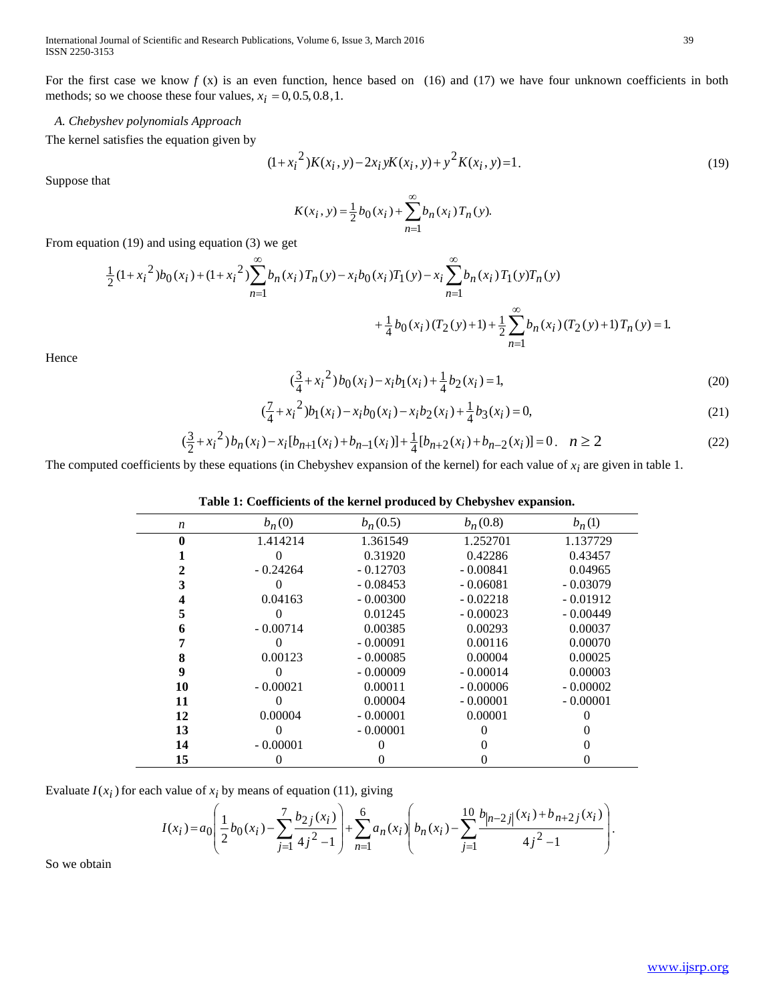International Journal of Scientific and Research Publications, Volume 6, Issue 3, March 2016 39 ISSN 2250-3153

For the first case we know  $f(x)$  is an even function, hence based on (16) and (17) we have four unknown coefficients in both methods; so we choose these four values,  $x_i = 0, 0.5, 0.8, 1$ .

# *A. Chebyshev polynomials Approach*

The kernel satisfies the equation given by

$$
(1+xi2)K(xi, y) - 2xi yK(xi, y) + y2K(xi, y) = 1.
$$
 (19)

Suppose that

$$
K(x_i, y) = \frac{1}{2} b_0(x_i) + \sum_{n=1}^{\infty} b_n(x_i) T_n(y).
$$

From equation (19) and using equation (3) we get

$$
\frac{1}{2}(1+x_i^2)b_0(x_i) + (1+x_i^2)\sum_{n=1}^{\infty}b_n(x_i)T_n(y) - x_ib_0(x_i)T_1(y) - x_i\sum_{n=1}^{\infty}b_n(x_i)T_1(y)T_n(y) + \frac{1}{4}b_0(x_i)(T_2(y)+1) + \frac{1}{2}\sum_{n=1}^{\infty}b_n(x_i)(T_2(y)+1)T_n(y) = 1.
$$

Hence

$$
\left(\frac{3}{4} + x_i^2\right)b_0(x_i) - x_ib_1(x_i) + \frac{1}{4}b_2(x_i) = 1,\tag{20}
$$

$$
(\frac{7}{4} + {x_i}^2)b_1(x_i) - x_ib_0(x_i) - x_ib_2(x_i) + \frac{1}{4}b_3(x_i) = 0,
$$
\n(21)

$$
\left(\frac{3}{2} + x_i^2\right) b_n(x_i) - x_i [b_{n+1}(x_i) + b_{n-1}(x_i)] + \frac{1}{4} [b_{n+2}(x_i) + b_{n-2}(x_i)] = 0, \quad n \ge 2
$$
\n<sup>(22)</sup>

The computed coefficients by these equations (in Chebyshev expansion of the kernel) for each value of  $x_i$  are given in table 1.

# **Table 1: Coefficients of the kernel produced by Chebyshev expansion.**

|                  | $b_n(0)$   | $b_n(0.5)$ | $b_n(0.8)$ | $b_n(1)$   |
|------------------|------------|------------|------------|------------|
| $\boldsymbol{n}$ |            |            |            |            |
|                  | 1.414214   | 1.361549   | 1.252701   | 1.137729   |
|                  |            | 0.31920    | 0.42286    | 0.43457    |
|                  | $-0.24264$ | $-0.12703$ | $-0.00841$ | 0.04965    |
|                  |            | $-0.08453$ | $-0.06081$ | $-0.03079$ |
|                  | 0.04163    | $-0.00300$ | $-0.02218$ | $-0.01912$ |
|                  |            | 0.01245    | $-0.00023$ | $-0.00449$ |
|                  | $-0.00714$ | 0.00385    | 0.00293    | 0.00037    |
|                  |            | $-0.00091$ | 0.00116    | 0.00070    |
| 8                | 0.00123    | $-0.00085$ | 0.00004    | 0.00025    |
| 9                |            | $-0.00009$ | $-0.00014$ | 0.00003    |
| 10               | $-0.00021$ | 0.00011    | $-0.00006$ | $-0.00002$ |
| 11               |            | 0.00004    | $-0.00001$ | $-0.00001$ |
| 12               | 0.00004    | $-0.00001$ | 0.00001    |            |
| 13               |            | $-0.00001$ |            |            |
| 14               | $-0.00001$ |            |            |            |
| 15               |            |            |            |            |

Evaluate  $I(x_i)$  for each value of  $x_i$  by means of equation (11), giving

a value of 
$$
x_i
$$
 by means of equation (11), giving  
\n
$$
I(x_i) = a_0 \left( \frac{1}{2} b_0(x_i) - \sum_{j=1}^7 \frac{b_{2j}(x_i)}{4j^2 - 1} \right) + \sum_{n=1}^6 a_n(x_i) \left( b_n(x_i) - \sum_{j=1}^{10} \frac{b_{n-2j}(x_i) + b_{n+2j}(x_i)}{4j^2 - 1} \right).
$$

So we obtain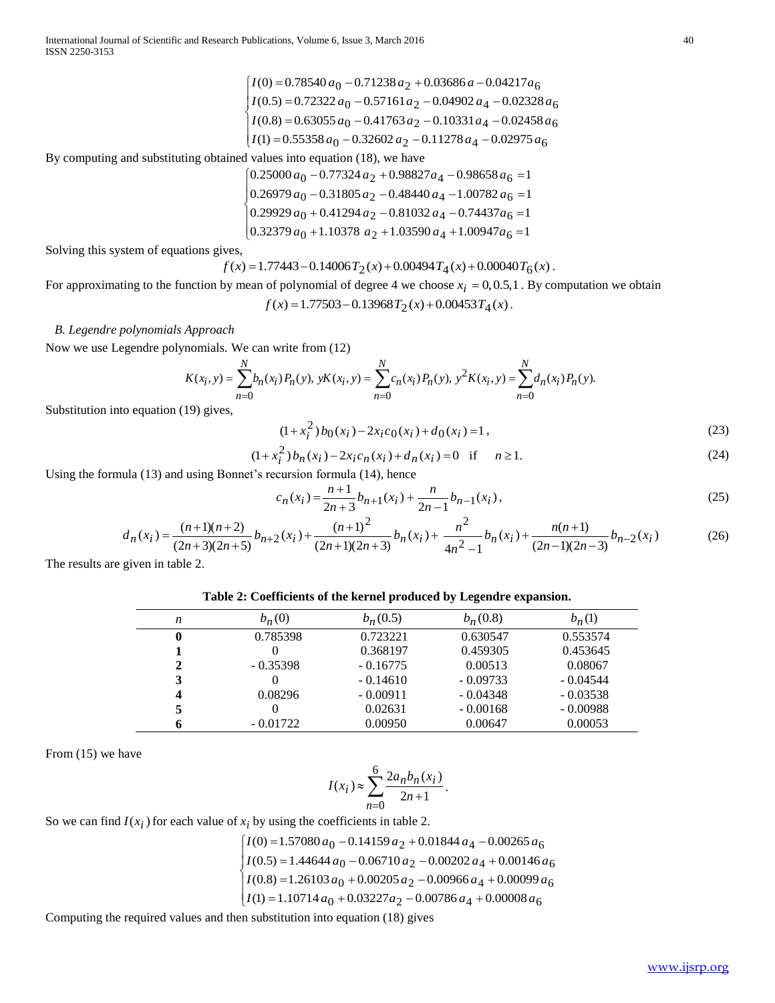$$
\begin{cases}\nI(0) = 0.78540 a_0 - 0.71238 a_2 + 0.03686 a - 0.04217 a_6 \\
I(0.5) = 0.72322 a_0 - 0.57161 a_2 - 0.04902 a_4 - 0.02328 a_6 \\
I(0.8) = 0.63055 a_0 - 0.41763 a_2 - 0.10331 a_4 - 0.02458 a_6 \\
I(1) = 0.55358 a_0 - 0.32602 a_2 - 0.11278 a_4 - 0.02975 a_6\n\end{cases}
$$

By computing and substituting obtained values into equation (18), we have

 $\left(0.32379 a_0 + 1.10378 a_2 + 1.03590 a_4 + 1.00947 a_6\right)$  $\overline{1}$  $\left[ 0.26979 a_0 - 0.31805 a_2 - 0.48440 a_4 - 1.00782 a_6 \right]$  $\begin{bmatrix} 0 & 0 & 0 \\ 0.29929 & a_0 & +0.41294 & a_2 & -0.81032 & a_4 & -0.74437 & a_6 \end{bmatrix}$  $\left[0.25000 a_0 - 0.77324 a_2 + 0.98827 a_4 - 0.98658 a_6\right]$ 

Solving this system of equations gives,

 $f(x) = 1.77443 - 0.14006 T_2(x) + 0.00494 T_4(x) + 0.00040 T_6(x)$ .

For approximating to the function by mean of polynomial of degree 4 we choose  $x_i = 0, 0.5, 1$ . By computation we obtain  $f(x) = 1.77503 - 0.13968 T_2(x) + 0.00453 T_4(x)$ .

## *B. Legendre polynomials Approach*

Now we use Legendre polynomials. We can write from (12)

$$
K(x_i, y) = \sum_{n=0}^{N} b_n(x_i) P_n(y), yK(x_i, y) = \sum_{n=0}^{N} c_n(x_i) P_n(y), y^2 K(x_i, y) = \sum_{n=0}^{N} d_n(x_i) P_n(y).
$$

Substitution into equation (19) gives,

$$
(1+xi2) b0(xi) - 2xi c0(xi) + d0(xi) = 1,
$$
\n(23)

$$
(1 + xi2) bn(xi) - 2xi cn(xi) + dn(xi) = 0 \text{ if } n \ge 1.
$$
 (24)

Using the formula (13) and using Bonnet's recursion formula (14), hence

$$
c_n(x_i) = \frac{n+1}{2n+3} b_{n+1}(x_i) + \frac{n}{2n-1} b_{n-1}(x_i),
$$
\n(25)

$$
d_n(x_i) = \frac{(n+1)(n+2)}{(2n+3)(2n+5)} b_{n+2}(x_i) + \frac{(n+1)^2}{(2n+1)(2n+3)} b_n(x_i) + \frac{n^2}{4n^2 - 1} b_n(x_i) + \frac{n(n+1)}{(2n-1)(2n-3)} b_{n-2}(x_i)
$$
(26)

The results are given in table 2.

|  |  |  |  | Table 2: Coefficients of the kernel produced by Legendre expansion. |  |  |
|--|--|--|--|---------------------------------------------------------------------|--|--|
|--|--|--|--|---------------------------------------------------------------------|--|--|

| n | $b_n(0)$   | $b_n(0.5)$ | $b_n(0.8)$ | $b_n(1)$   |
|---|------------|------------|------------|------------|
| 0 | 0.785398   | 0.723221   | 0.630547   | 0.553574   |
|   |            | 0.368197   | 0.459305   | 0.453645   |
| 2 | $-0.35398$ | $-0.16775$ | 0.00513    | 0.08067    |
| 3 |            | $-0.14610$ | $-0.09733$ | $-0.04544$ |
| 4 | 0.08296    | $-0.00911$ | $-0.04348$ | $-0.03538$ |
|   |            | 0.02631    | $-0.00168$ | $-0.00988$ |
| 6 | $-0.01722$ | 0.00950    | 0.00647    | 0.00053    |

From  $(15)$  we have

$$
I(x_i) \approx \sum_{n=0}^{6} \frac{2a_n b_n(x_i)}{2n+1}.
$$

So we can find  $I(x_i)$  for each value of  $x_i$  by using the coefficients in table 2.

$$
\begin{cases}\nI(0) = 1.57080 a_0 - 0.14159 a_2 + 0.01844 a_4 - 0.00265 a_6 \\
I(0.5) = 1.44644 a_0 - 0.06710 a_2 - 0.00202 a_4 + 0.00146 a_6 \\
I(0.8) = 1.26103 a_0 + 0.00205 a_2 - 0.00966 a_4 + 0.00099 a_6 \\
I(1) = 1.10714 a_0 + 0.03227 a_2 - 0.00786 a_4 + 0.00008 a_6\n\end{cases}
$$

Computing the required values and then substitution into equation (18) gives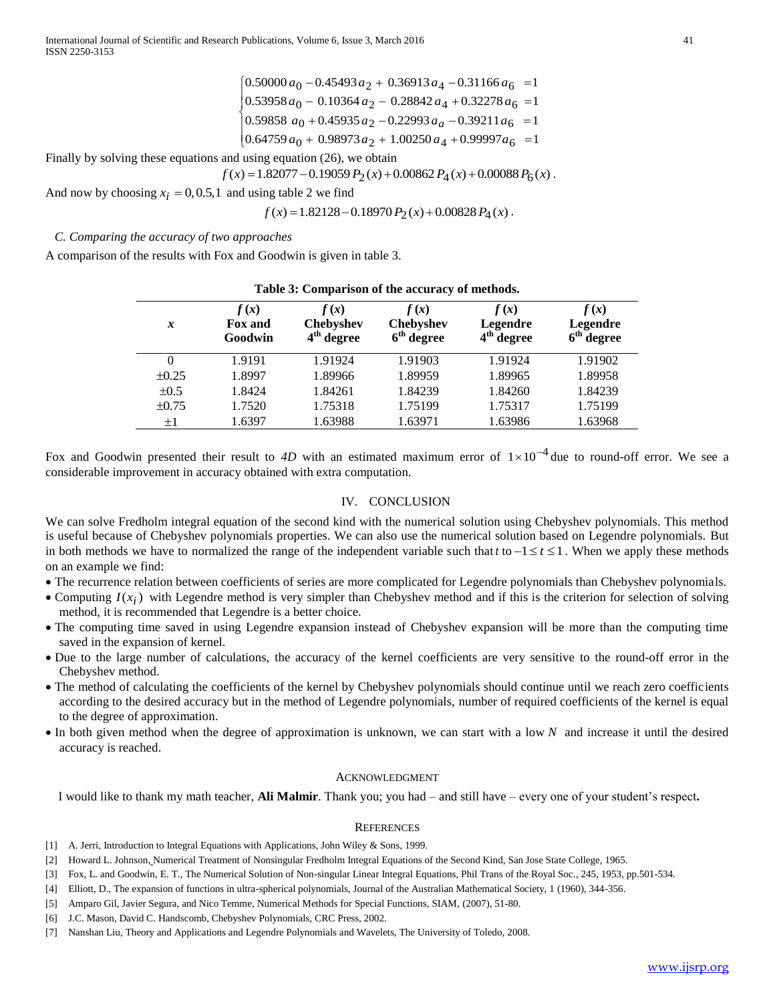$\left[0.64759 a_0 + 0.98973 a_2 + 1.00250 a_4 + 0.99997 a_6\right] = 1$  $\frac{1}{2}$  $\begin{bmatrix} 0.53958 \, a_0 - 0.10364 \, a_2 - 0.28842 \, a_4 + 0.32278 \, a_6 \end{bmatrix} = 1$  $\begin{bmatrix} 0 & 0 & 0 \\ 0.59858 & a_0 + 0.45935 & a_2 - 0.22993 & a_0 - 0.39211 & a_6 \end{bmatrix} = 1$  $\int (0.50000 \, a_0 - 0.45493 \, a_2 + 0.36913 \, a_4 - 0.31166 \, a_6 = 1$ 

Finally by solving these equations and using equation (26), we obtain

$$
f(x) = 1.82077 - 0.19059 P_2(x) + 0.00862 P_4(x) + 0.00088 P_6(x).
$$

And now by choosing  $x_i = 0, 0.5, 1$  and using table 2 we find

$$
f(x) = 1.82128 - 0.18970 P_2(x) + 0.00828 P_4(x).
$$

*C. Comparing the accuracy of two approaches*

A comparison of the results with Fox and Goodwin is given in table 3.

|            |                                   |                                   | $\cdot$                                            |                                            |                                  |
|------------|-----------------------------------|-----------------------------------|----------------------------------------------------|--------------------------------------------|----------------------------------|
| x          | f(x)<br><b>Fox and</b><br>Goodwin | f(x)<br>Chebyshev<br>$4th$ degree | f(x)<br><b>Chebyshev</b><br>6 <sup>th</sup> degree | f(x)<br>Legendre<br>4 <sup>th</sup> degree | f(x)<br>Legendre<br>$6th$ degree |
| $\Omega$   | 1.9191                            | 1.91924                           | 1.91903                                            | 1.91924                                    | 1.91902                          |
| $\pm 0.25$ | 1.8997                            | 1.89966                           | 1.89959                                            | 1.89965                                    | 1.89958                          |
| $\pm 0.5$  | 1.8424                            | 1.84261                           | 1.84239                                            | 1.84260                                    | 1.84239                          |
| $\pm 0.75$ | 1.7520                            | 1.75318                           | 1.75199                                            | 1.75317                                    | 1.75199                          |
| $\pm 1$    | 1.6397                            | 1.63988                           | 1.63971                                            | 1.63986                                    | 1.63968                          |

|  | Table 3: Comparison of the accuracy of methods. |  |  |  |
|--|-------------------------------------------------|--|--|--|
|--|-------------------------------------------------|--|--|--|

Fox and Goodwin presented their result to 4D with an estimated maximum error of  $1 \times 10^{-4}$  due to round-off error. We see a considerable improvement in accuracy obtained with extra computation.

## IV. CONCLUSION

We can solve Fredholm integral equation of the second kind with the numerical solution using Chebyshev polynomials. This method is useful because of Chebyshev polynomials properties. We can also use the numerical solution based on Legendre polynomials. But in both methods we have to normalized the range of the independent variable such that  $t$  to  $-1 \le t \le 1$ . When we apply these methods on an example we find:

- The recurrence relation between coefficients of series are more complicated for Legendre polynomials than Chebyshev polynomials.
- Computing  $I(x_i)$  with Legendre method is very simpler than Chebyshev method and if this is the criterion for selection of solving method, it is recommended that Legendre is a better choice.
- The computing time saved in using Legendre expansion instead of Chebyshev expansion will be more than the computing time saved in the expansion of kernel.
- Due to the large number of calculations, the accuracy of the kernel coefficients are very sensitive to the round-off error in the Chebyshev method.
- The method of calculating the coefficients of the kernel by Chebyshev polynomials should continue until we reach zero coefficients according to the desired accuracy but in the method of Legendre polynomials, number of required coefficients of the kernel is equal to the degree of approximation. • Computing  $I(x_i)$  with Legendre method is very simpler than Chebyshev method and if this<br>
method, it is recommended that Legendre is a better choice.<br>
• The computing time saved in using Legendre expansion instead of Che
- In both given method when the degree of approximation is unknown, we can start with a low N and increase it until the desired accuracy is reached.

#### ACKNOWLEDGMENT

I would like to thank my math teacher, **Ali Malmir**. Thank you; you had – and still have – every one of your student's respect**.**

#### **REFERENCES**

- [1] A. Jerri, Introduction to Integral Equations with Applications, John Wiley & Sons, 1999.
- [2] Howard L. Johnson, Numerical Treatment of Nonsingular Fredholm Integral Equations of the Second Kind, San Jose State College, 1965.
- [3] Fox, L. and Goodwin, E. T., The Numerical Solution of Non-singular Linear Integral Equations, Phil Trans of the Royal Soc., 245, 1953, pp.501-534.
- [4] Elliott, D., The expansion of functions in ultra-spherical polynomials, Journal of the Australian Mathematical Society, 1 (1960), 344-356.
- [5] Amparo Gil, Javier Segura, and Nico Temme, Numerical Methods for Special Functions, SIAM, (2007), 51-80.
- [6] J.C. Mason, David C. Handscomb, Chebyshev Polynomials, CRC Press, 2002.
-